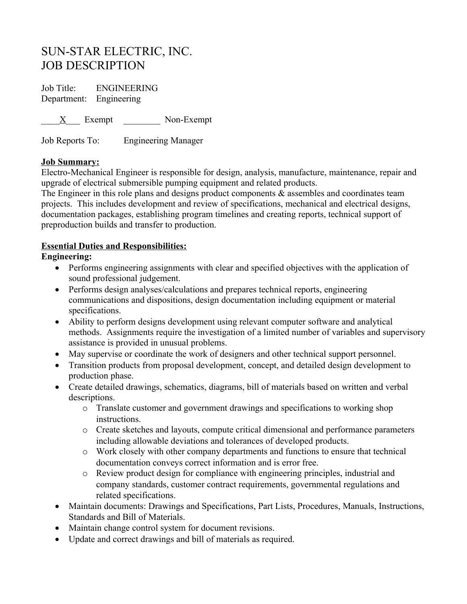# SUN-STAR ELECTRIC, INC. JOB DESCRIPTION

Job Title: ENGINEERING Department: Engineering

X Exempt Non-Exempt

Job Reports To: Engineering Manager

## **Job Summary:**

Electro-Mechanical Engineer is responsible for design, analysis, manufacture, maintenance, repair and upgrade of electrical submersible pumping equipment and related products.

The Engineer in this role plans and designs product components & assembles and coordinates team projects. This includes development and review of specifications, mechanical and electrical designs, documentation packages, establishing program timelines and creating reports, technical support of preproduction builds and transfer to production.

## **Essential Duties and Responsibilities:**

## **Engineering:**

- Performs engineering assignments with clear and specified objectives with the application of sound professional judgement.
- Performs design analyses/calculations and prepares technical reports, engineering communications and dispositions, design documentation including equipment or material specifications.
- Ability to perform designs development using relevant computer software and analytical methods. Assignments require the investigation of a limited number of variables and supervisory assistance is provided in unusual problems.
- May supervise or coordinate the work of designers and other technical support personnel.
- Transition products from proposal development, concept, and detailed design development to production phase.
- Create detailed drawings, schematics, diagrams, bill of materials based on written and verbal descriptions.
	- o Translate customer and government drawings and specifications to working shop instructions.
	- o Create sketches and layouts, compute critical dimensional and performance parameters including allowable deviations and tolerances of developed products.
	- o Work closely with other company departments and functions to ensure that technical documentation conveys correct information and is error free.
	- o Review product design for compliance with engineering principles, industrial and company standards, customer contract requirements, governmental regulations and related specifications.
- Maintain documents: Drawings and Specifications, Part Lists, Procedures, Manuals, Instructions, Standards and Bill of Materials.
- Maintain change control system for document revisions.
- Update and correct drawings and bill of materials as required.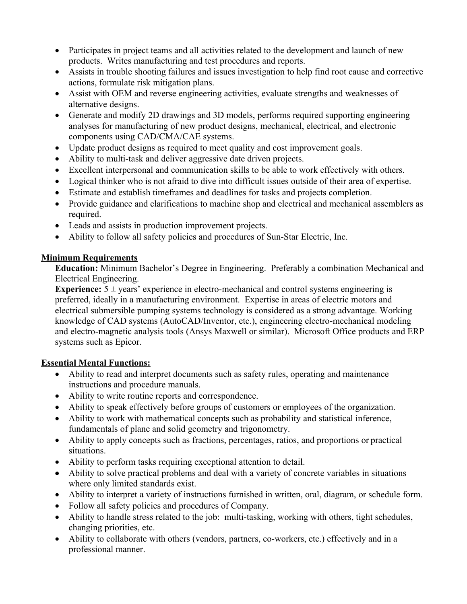- Participates in project teams and all activities related to the development and launch of new products. Writes manufacturing and test procedures and reports.
- Assists in trouble shooting failures and issues investigation to help find root cause and corrective actions, formulate risk mitigation plans.
- Assist with OEM and reverse engineering activities, evaluate strengths and weaknesses of alternative designs.
- Generate and modify 2D drawings and 3D models, performs required supporting engineering analyses for manufacturing of new product designs, mechanical, electrical, and electronic components using CAD/CMA/CAE systems.
- Update product designs as required to meet quality and cost improvement goals.
- Ability to multi-task and deliver aggressive date driven projects.
- Excellent interpersonal and communication skills to be able to work effectively with others.
- Logical thinker who is not afraid to dive into difficult issues outside of their area of expertise.
- Estimate and establish timeframes and deadlines for tasks and projects completion.
- Provide guidance and clarifications to machine shop and electrical and mechanical assemblers as required.
- Leads and assists in production improvement projects.
- Ability to follow all safety policies and procedures of Sun-Star Electric, Inc.

## **Minimum Requirements**

**Education:** Minimum Bachelor's Degree in Engineering. Preferably a combination Mechanical and Electrical Engineering.

**Experience:**  $5 \pm \text{ years}$  experience in electro-mechanical and control systems engineering is preferred, ideally in a manufacturing environment. Expertise in areas of electric motors and electrical submersible pumping systems technology is considered as a strong advantage. Working knowledge of CAD systems (AutoCAD/Inventor, etc.), engineering electro-mechanical modeling and electro-magnetic analysis tools (Ansys Maxwell or similar). Microsoft Office products and ERP systems such as Epicor.

## **Essential Mental Functions:**

- Ability to read and interpret documents such as safety rules, operating and maintenance instructions and procedure manuals.
- Ability to write routine reports and correspondence.
- Ability to speak effectively before groups of customers or employees of the organization.
- Ability to work with mathematical concepts such as probability and statistical inference, fundamentals of plane and solid geometry and trigonometry.
- Ability to apply concepts such as fractions, percentages, ratios, and proportions or practical situations.
- Ability to perform tasks requiring exceptional attention to detail.
- Ability to solve practical problems and deal with a variety of concrete variables in situations where only limited standards exist.
- Ability to interpret a variety of instructions furnished in written, oral, diagram, or schedule form.
- Follow all safety policies and procedures of Company.
- Ability to handle stress related to the job: multi-tasking, working with others, tight schedules, changing priorities, etc.
- Ability to collaborate with others (vendors, partners, co-workers, etc.) effectively and in a professional manner.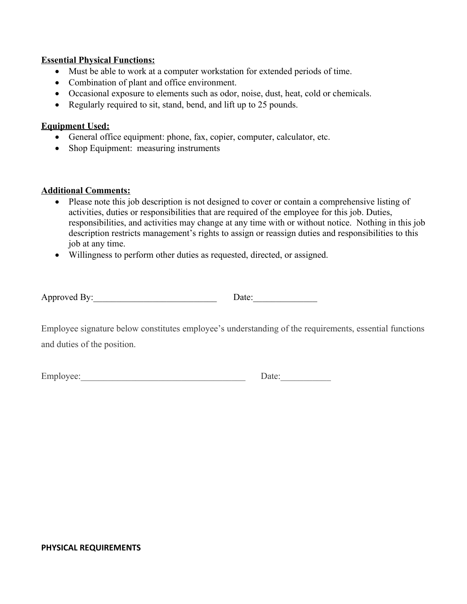#### **Essential Physical Functions:**

- Must be able to work at a computer workstation for extended periods of time.
- Combination of plant and office environment.
- Occasional exposure to elements such as odor, noise, dust, heat, cold or chemicals.
- Regularly required to sit, stand, bend, and lift up to 25 pounds.

### **Equipment Used:**

- General office equipment: phone, fax, copier, computer, calculator, etc.
- Shop Equipment: measuring instruments

#### **Additional Comments:**

- Please note this job description is not designed to cover or contain a comprehensive listing of activities, duties or responsibilities that are required of the employee for this job. Duties, responsibilities, and activities may change at any time with or without notice. Nothing in this job description restricts management's rights to assign or reassign duties and responsibilities to this job at any time.
- Willingness to perform other duties as requested, directed, or assigned.

| йΙ<br>$\sim$ $\sim$ $\sim$ $\sim$ $\sim$ | Approved<br><b>Let 1</b> |  |
|------------------------------------------|--------------------------|--|
|------------------------------------------|--------------------------|--|

Employee signature below constitutes employee's understanding of the requirements, essential functions and duties of the position.

Employee:\_\_\_\_\_\_\_\_\_\_\_\_\_\_\_\_\_\_\_\_\_\_\_\_\_\_\_\_\_\_\_\_\_\_\_\_ Date:\_\_\_\_\_\_\_\_\_\_\_

#### **PHYSICAL REQUIREMENTS**